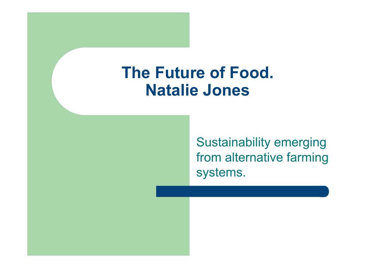## **The Future of Food. Natalie Jones**

Sustainability emerging from alternative farming systems.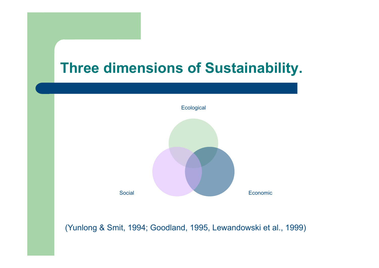



(Yunlong & Smit, 1994; Goodland, 1995, Lewandowski et al., 1999)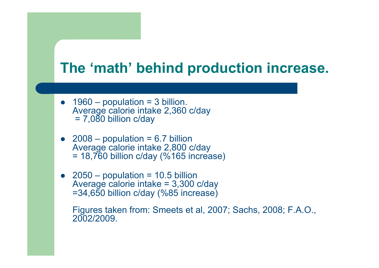## **The 'math' behind production increase.**

- $\bullet$  1960 population = 3 billion. Average calorie intake 2,360 c/day  $= 7,080$  billion c/day
- 2008 population = 6.7 billion Average calorie intake 2,800 c/day  $= 18,760$  billion c/day (%165 increase)
- $\bullet$  2050 population = 10.5 billion Average calorie intake = 3,300 c/day =34,650 billion c/day (%85 increase)

Figures taken from: Smeets et al, 2007; Sachs, 2008; F.A.O., 2002/2009.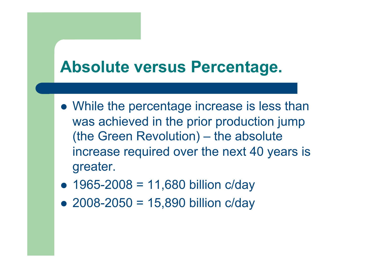## **Absolute versus Percentage.**

- While the percentage increase is less than was achieved in the prior production jump (the Green Revolution) – the absolute increase required over the next 40 years is greater.
- $1965 2008 = 11,680$  billion c/day
- 2008-2050 = 15,890 billion c/day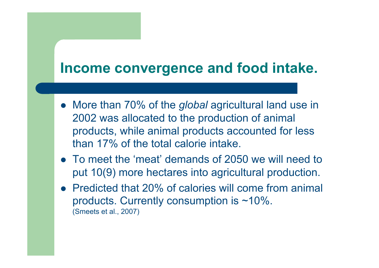## **Income convergence and food intake.**

- More than 70% of the *global* agricultural land use in 2002 was allocated to the production of animal products, while animal products accounted for less than 17% of the total calorie intake.
- To meet the 'meat' demands of 2050 we will need to put 10(9) more hectares into agricultural production.
- Predicted that 20% of calories will come from animal products. Currently consumption is ~10%. (Smeets et al., 2007)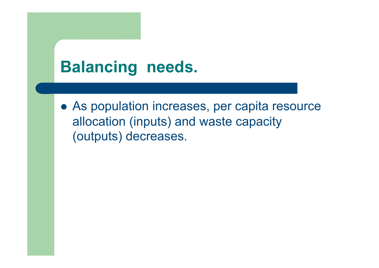# **Balancing needs.**

 As population increases, per capita resource allocation (inputs) and waste capacity (outputs) decreases.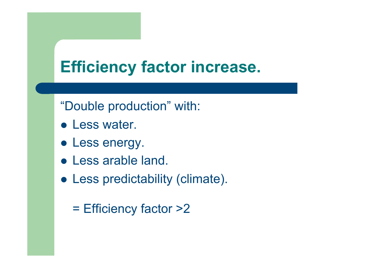# **Efficiency factor increase.**

"Double production" with:

- **Less water.**
- Less energy.
- Less arable land.
- Less predictability (climate).
	- = Efficiency factor >2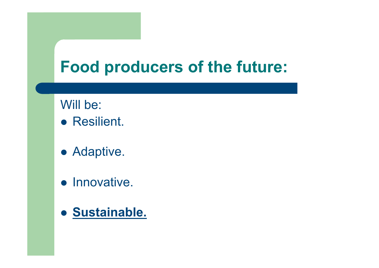# **Food producers of the future:**

Will be:

- **Resilient.**
- Adaptive.
- **•** Innovative.
- **Sustainable.**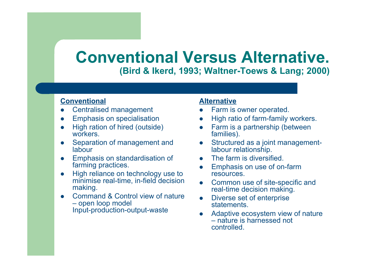### **Conventional Versus Alternative. (Bird & Ikerd, 1993; Waltner-Toews & Lang; 2000)**

### **Conventional**

- Centralised management
- Emphasis on specialisation
- High ration of hired (outside) workers.
- Separation of management and labour
- Emphasis on standardisation of farming practices.
- High reliance on technology use to minimise real-time, in-field decision making.
- Command & Control view of nature – open loop model Input-production-output-waste

#### **Alternative**

- Farm is owner operated.
- High ratio of farm-family workers.
- Farm is a partnership (between families).
- Structured as a joint managementlabour relationship.
- The farm is diversified.
- Emphasis on use of on-farm resources.
- Common use of site-specific and real-time decision making.
- Diverse set of enterprise **statements**
- Adaptive ecosystem view of nature – nature is harnessed not controlled.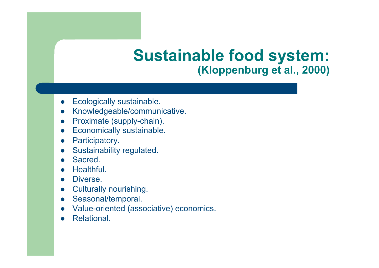## **Sustainable food system: (Kloppenburg et al., 2000)**

- Ecologically sustainable.
- Knowledgeable/communicative.
- Proximate (supply-chain).
- **•** Economically sustainable.
- Participatory.
- Sustainability regulated.
- **Sacred**
- Healthful.
- Diverse.
- **•** Culturally nourishing.
- Seasonal/temporal.
- Value-oriented (associative) economics.
- Relational.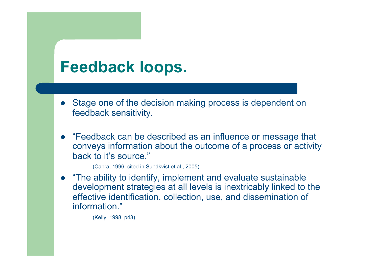## **Feedback loops.**

- Stage one of the decision making process is dependent on feedback sensitivity.
- "Feedback can be described as an influence or message that conveys information about the outcome of a process or activity back to it's source."

(Capra, 1996, cited in Sundkvist et al., 2005)

 "The ability to identify, implement and evaluate sustainable development strategies at all levels is inextricably linked to the effective identification, collection, use, and dissemination of information."

(Kelly, 1998, p43)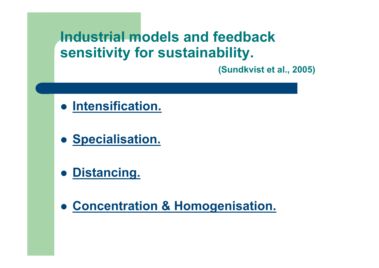## **Industrial models and feedback sensitivity for sustainability.**

 **(Sundkvist et al., 2005)** 

- **Intensification.**
- **Specialisation.**
- **Distancing.**
- **Concentration & Homogenisation.**